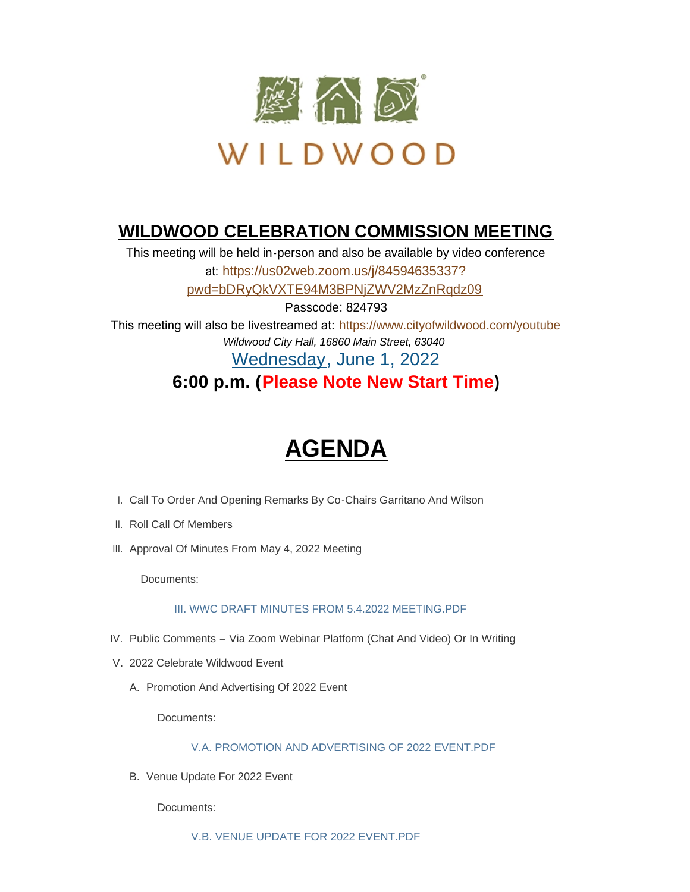

# **WILDWOOD CELEBRATION COMMISSION MEETING**

This meeting will be held in-person and also be available by video conference at: https://us02web.zoom.us/j/84594635337? pwd=[bDRyQkVXTE94M3BPNjZWV2MzZnRqdz09](https://us02web.zoom.us/j/84594635337?pwd=bDRyQkVXTE94M3BPNjZWV2MzZnRqdz09) Passcode: 824793

This meeting will also be livestreamed at: <https://www.cityofwildwood.com/youtube> *Wildwood City Hall, 16860 Main Street, 63040* Wednesday, June 1, 2022

**6:00 p.m. (Please Note New Start Time)**

# **AGENDA**

- I. Call To Order And Opening Remarks By Co-Chairs Garritano And Wilson
- II. Roll Call Of Members
- III. Approval Of Minutes From May 4, 2022 Meeting

Documents:

## [III. WWC DRAFT MINUTES FROM 5.4.2022 MEETING.PDF](https://www.cityofwildwood.com/AgendaCenter/ViewFile/Item/32704?fileID=34671)

- IV. Public Comments Via Zoom Webinar Platform (Chat And Video) Or In Writing
- V. 2022 Celebrate Wildwood Event
	- A. Promotion And Advertising Of 2022 Event

Documents:

[V.A. PROMOTION AND ADVERTISING OF 2022 EVENT.PDF](https://www.cityofwildwood.com/AgendaCenter/ViewFile/Item/32705?fileID=34672)

B. Venue Update For 2022 Event

Documents:

[V.B. VENUE UPDATE FOR 2022 EVENT.PDF](https://www.cityofwildwood.com/AgendaCenter/ViewFile/Item/32706?fileID=34673)